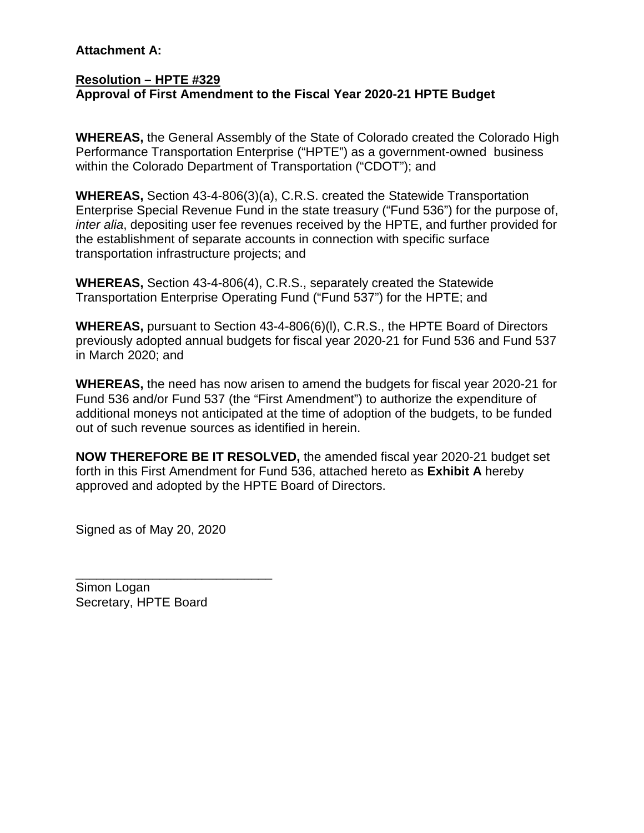## **Attachment A:**

## **Resolution – HPTE #329 Approval of First Amendment to the Fiscal Year 2020-21 HPTE Budget**

**WHEREAS,** the General Assembly of the State of Colorado created the Colorado High Performance Transportation Enterprise ("HPTE") as a government-owned business within the Colorado Department of Transportation ("CDOT"); and

**WHEREAS,** Section 43-4-806(3)(a), C.R.S. created the Statewide Transportation Enterprise Special Revenue Fund in the state treasury ("Fund 536") for the purpose of, *inter alia*, depositing user fee revenues received by the HPTE, and further provided for the establishment of separate accounts in connection with specific surface transportation infrastructure projects; and

**WHEREAS,** Section 43-4-806(4), C.R.S., separately created the Statewide Transportation Enterprise Operating Fund ("Fund 537") for the HPTE; and

**WHEREAS,** pursuant to Section 43-4-806(6)(l), C.R.S., the HPTE Board of Directors previously adopted annual budgets for fiscal year 2020-21 for Fund 536 and Fund 537 in March 2020; and

**WHEREAS,** the need has now arisen to amend the budgets for fiscal year 2020-21 for Fund 536 and/or Fund 537 (the "First Amendment") to authorize the expenditure of additional moneys not anticipated at the time of adoption of the budgets, to be funded out of such revenue sources as identified in herein.

**NOW THEREFORE BE IT RESOLVED,** the amended fiscal year 2020-21 budget set forth in this First Amendment for Fund 536, attached hereto as **Exhibit A** hereby approved and adopted by the HPTE Board of Directors.

Signed as of May 20, 2020

\_\_\_\_\_\_\_\_\_\_\_\_\_\_\_\_\_\_\_\_\_\_\_\_\_\_\_\_ Simon Logan Secretary, HPTE Board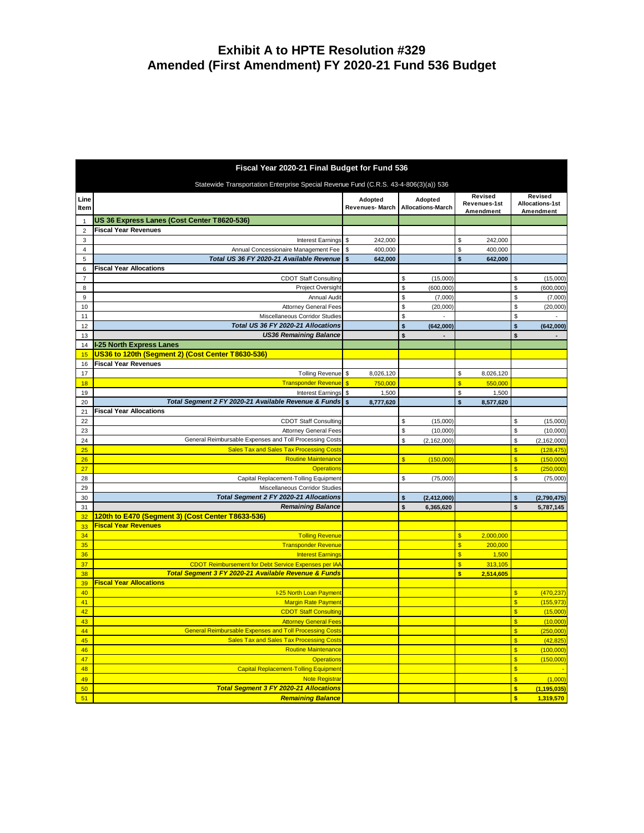## **Exhibit A to HPTE Resolution #329 Amended (First Amendment) FY 2020-21 Fund 536 Budget**

| Fiscal Year 2020-21 Final Budget for Fund 536 |                                                                                         |                           |                                      |                                             |                                          |  |  |  |  |  |  |  |
|-----------------------------------------------|-----------------------------------------------------------------------------------------|---------------------------|--------------------------------------|---------------------------------------------|------------------------------------------|--|--|--|--|--|--|--|
|                                               | Statewide Transportation Enterprise Special Revenue Fund (C.R.S. 43-4-806(3)(a)) 536    |                           |                                      |                                             |                                          |  |  |  |  |  |  |  |
| Line<br>Item                                  |                                                                                         | Adopted<br>Revenues-March | Adopted<br><b>Allocations-March</b>  | Revised<br>Revenues-1st<br>Amendment        | Revised<br><b>Allocations-1st</b>        |  |  |  |  |  |  |  |
| $\mathbf{1}$                                  | US 36 Express Lanes (Cost Center T8620-536)                                             |                           |                                      |                                             | Amendment                                |  |  |  |  |  |  |  |
| $\overline{2}$                                | <b>Fiscal Year Revenues</b>                                                             |                           |                                      |                                             |                                          |  |  |  |  |  |  |  |
| 3                                             | Interest Earnings                                                                       | \$<br>242,000             |                                      | \$<br>242,000                               |                                          |  |  |  |  |  |  |  |
| $\overline{4}$                                | Annual Concessionaire Management Fee                                                    | \$<br>400,000             |                                      | \$<br>400,000                               |                                          |  |  |  |  |  |  |  |
| 5                                             | Total US 36 FY 2020-21 Available Revenue                                                | \$<br>642,000             |                                      | \$<br>642,000                               |                                          |  |  |  |  |  |  |  |
| 6                                             | <b>Fiscal Year Allocations</b>                                                          |                           |                                      |                                             |                                          |  |  |  |  |  |  |  |
| $\overline{7}$                                | <b>CDOT Staff Consulting</b>                                                            |                           | \$<br>(15,000)                       |                                             | \$<br>(15,000)                           |  |  |  |  |  |  |  |
| 8                                             | Project Oversight                                                                       |                           | \$<br>(600,000)                      |                                             | \$<br>(600, 000)                         |  |  |  |  |  |  |  |
| 9                                             | Annual Audit<br><b>Attorney General Fees</b>                                            |                           | \$<br>(7,000)<br>\$                  |                                             | \$<br>(7,000)<br>\$                      |  |  |  |  |  |  |  |
| 10<br>11                                      | Miscellaneous Corridor Studies                                                          |                           | (20,000)<br>\$                       |                                             | (20,000)<br>\$<br>ä,                     |  |  |  |  |  |  |  |
| 12                                            | Total US 36 FY 2020-21 Allocations                                                      |                           | \$<br>(642,000)                      |                                             | \$<br>(642,000)                          |  |  |  |  |  |  |  |
| 13                                            | <b>US36 Remaining Balance</b>                                                           |                           | \$                                   |                                             | \$                                       |  |  |  |  |  |  |  |
| 14                                            | <b>I-25 North Express Lanes</b>                                                         |                           |                                      |                                             |                                          |  |  |  |  |  |  |  |
| 15                                            | US36 to 120th (Segment 2) (Cost Center T8630-536)                                       |                           |                                      |                                             |                                          |  |  |  |  |  |  |  |
| 16                                            | <b>Fiscal Year Revenues</b>                                                             |                           |                                      |                                             |                                          |  |  |  |  |  |  |  |
| 17                                            | <b>Tolling Revenue</b>                                                                  | 8,026,120<br>\$           |                                      | \$<br>8,026,120                             |                                          |  |  |  |  |  |  |  |
| 18                                            | <b>Transponder Revenue</b>                                                              | 750,000<br>$\mathbf{s}$   |                                      | \$<br>550,000                               |                                          |  |  |  |  |  |  |  |
| 19                                            | <b>Interest Earnings</b>                                                                | \$<br>1,500               |                                      | \$<br>1,500                                 |                                          |  |  |  |  |  |  |  |
| 20                                            | Total Segment 2 FY 2020-21 Available Revenue & Funds                                    | $\mathbf{s}$<br>8,777,620 |                                      | \$<br>8,577,620                             |                                          |  |  |  |  |  |  |  |
| 21                                            | <b>Fiscal Year Allocations</b>                                                          |                           |                                      |                                             |                                          |  |  |  |  |  |  |  |
| 22                                            | <b>CDOT Staff Consulting</b>                                                            |                           | \$<br>(15,000)<br>\$                 |                                             | \$<br>(15,000)<br>\$                     |  |  |  |  |  |  |  |
| 23<br>24                                      | <b>Attorney General Fees</b><br>General Reimbursable Expenses and Toll Processing Costs |                           | (10,000)<br>\$<br>(2, 162, 000)      |                                             | (10,000)<br>\$<br>(2, 162, 000)          |  |  |  |  |  |  |  |
| 25                                            | <b>Sales Tax and Sales Tax Processing Costs</b>                                         |                           |                                      |                                             | \$<br>(128, 475)                         |  |  |  |  |  |  |  |
| 26                                            | <b>Routine Maintenance</b>                                                              |                           | $\overline{\mathbb{S}}$<br>(150,000) |                                             | $\overline{\mathbb{S}}$<br>(150,000)     |  |  |  |  |  |  |  |
| 27                                            | <b>Operations</b>                                                                       |                           |                                      |                                             | $\overline{\mathbb{S}}$<br>(250,000)     |  |  |  |  |  |  |  |
| 28                                            | Capital Replacement-Tolling Equipment                                                   |                           | \$<br>(75,000)                       |                                             | \$<br>(75,000)                           |  |  |  |  |  |  |  |
| 29                                            | Miscellaneous Corridor Studies                                                          |                           |                                      |                                             |                                          |  |  |  |  |  |  |  |
| 30                                            | Total Segment 2 FY 2020-21 Allocations                                                  |                           | \$<br>(2, 412, 000)                  |                                             | \$<br>(2,790,475)                        |  |  |  |  |  |  |  |
| 31                                            | <b>Remaining Balance</b>                                                                |                           | \$<br>6,365,620                      |                                             | \$<br>5,787,145                          |  |  |  |  |  |  |  |
| 32                                            | 120th to E470 (Segment 3) (Cost Center T8633-536)                                       |                           |                                      |                                             |                                          |  |  |  |  |  |  |  |
| 33                                            | <b>Fiscal Year Revenues</b>                                                             |                           |                                      |                                             |                                          |  |  |  |  |  |  |  |
| 34                                            | <b>Tolling Revenue</b><br><b>Transponder Revenue</b>                                    |                           |                                      | \$<br>2,000,000<br>\$                       |                                          |  |  |  |  |  |  |  |
| 35<br>36                                      | <b>Interest Earnings</b>                                                                |                           |                                      | 200,000<br>$\overline{\mathbb{S}}$<br>1,500 |                                          |  |  |  |  |  |  |  |
| 37                                            | <b>CDOT Reimbursement for Debt Service Expenses per IAA</b>                             |                           |                                      | \$<br>313,105                               |                                          |  |  |  |  |  |  |  |
| 38                                            | Total Segment 3 FY 2020-21 Available Revenue & Funds                                    |                           |                                      | \$<br>2,514,605                             |                                          |  |  |  |  |  |  |  |
| 39                                            | <b>Fiscal Year Allocations</b>                                                          |                           |                                      |                                             |                                          |  |  |  |  |  |  |  |
| 40                                            | <b>I-25 North Loan Payment</b>                                                          |                           |                                      |                                             | $\overline{\mathbb{S}}$<br>(470, 237)    |  |  |  |  |  |  |  |
| 41                                            | <b>Margin Rate Payment</b>                                                              |                           |                                      |                                             | $\overline{\mathbb{S}}$<br>(155, 973)    |  |  |  |  |  |  |  |
| 42                                            | <b>CDOT Staff Consulting</b>                                                            |                           |                                      |                                             | \$<br>(15,000)                           |  |  |  |  |  |  |  |
| 43                                            | <b>Attorney General Fees</b>                                                            |                           |                                      |                                             | $\overline{\mathbb{S}}$<br>(10,000)      |  |  |  |  |  |  |  |
| 44                                            | <b>General Reimbursable Expenses and Toll Processing Costs</b>                          |                           |                                      |                                             | \$<br>(250,000)                          |  |  |  |  |  |  |  |
| 45                                            | <b>Sales Tax and Sales Tax Processing Costs</b>                                         |                           |                                      |                                             | $\overline{\mathbb{S}}$<br>(42, 825)     |  |  |  |  |  |  |  |
| 46                                            | <b>Routine Maintenance</b>                                                              |                           |                                      |                                             | $\overline{\mathbb{S}}$<br>(100,000)     |  |  |  |  |  |  |  |
| 47<br>48                                      | <b>Operations</b><br><b>Capital Replacement-Tolling Equipment</b>                       |                           |                                      |                                             | \$<br>(150,000)<br>\$                    |  |  |  |  |  |  |  |
| 49                                            | <b>Note Registrar</b>                                                                   |                           |                                      |                                             | \$<br>(1,000)                            |  |  |  |  |  |  |  |
| 50                                            | <b>Total Segment 3 FY 2020-21 Allocations</b>                                           |                           |                                      |                                             | $\overline{\mathbf{s}}$<br>(1, 195, 035) |  |  |  |  |  |  |  |
| 51                                            | <b>Remaining Balance</b>                                                                |                           |                                      |                                             | s<br>1,319,570                           |  |  |  |  |  |  |  |